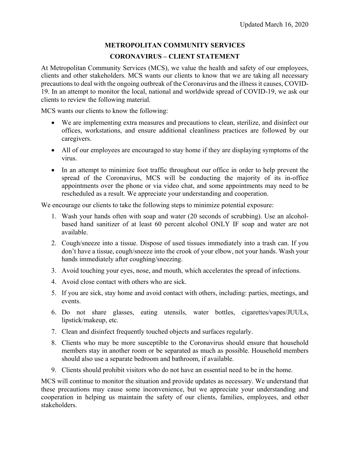## **METROPOLITAN COMMUNITY SERVICES CORONAVIRUS – CLIENT STATEMENT**

At Metropolitan Community Services (MCS), we value the health and safety of our employees, clients and other stakeholders. MCS wants our clients to know that we are taking all necessary precautions to deal with the ongoing outbreak of the Coronavirus and the illness it causes, COVID-19. In an attempt to monitor the local, national and worldwide spread of COVID-19, we ask our clients to review the following material.

MCS wants our clients to know the following:

- We are implementing extra measures and precautions to clean, sterilize, and disinfect our offices, workstations, and ensure additional cleanliness practices are followed by our caregivers.
- All of our employees are encouraged to stay home if they are displaying symptoms of the virus.
- In an attempt to minimize foot traffic throughout our office in order to help prevent the spread of the Coronavirus, MCS will be conducting the majority of its in-office appointments over the phone or via video chat, and some appointments may need to be rescheduled as a result. We appreciate your understanding and cooperation.

We encourage our clients to take the following steps to minimize potential exposure:

- 1. Wash your hands often with soap and water (20 seconds of scrubbing). Use an alcoholbased hand sanitizer of at least 60 percent alcohol ONLY IF soap and water are not available.
- 2. Cough/sneeze into a tissue. Dispose of used tissues immediately into a trash can. If you don't have a tissue, cough/sneeze into the crook of your elbow, not your hands. Wash your hands immediately after coughing/sneezing.
- 3. Avoid touching your eyes, nose, and mouth, which accelerates the spread of infections.
- 4. Avoid close contact with others who are sick.
- 5. If you are sick, stay home and avoid contact with others, including: parties, meetings, and events.
- 6. Do not share glasses, eating utensils, water bottles, cigarettes/vapes/JUULs, lipstick/makeup, etc.
- 7. Clean and disinfect frequently touched objects and surfaces regularly.
- 8. Clients who may be more susceptible to the Coronavirus should ensure that household members stay in another room or be separated as much as possible. Household members should also use a separate bedroom and bathroom, if available.
- 9. Clients should prohibit visitors who do not have an essential need to be in the home.

MCS will continue to monitor the situation and provide updates as necessary. We understand that these precautions may cause some inconvenience, but we appreciate your understanding and cooperation in helping us maintain the safety of our clients, families, employees, and other stakeholders.